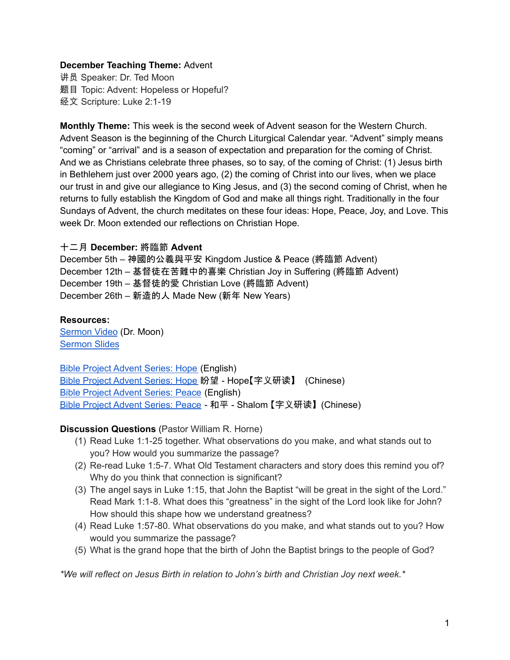# **December Teaching Theme:** Advent

讲员 Speaker: Dr. Ted Moon 题目 Topic: Advent: Hopeless or Hopeful? 经文 Scripture: Luke 2:1-19

**Monthly Theme:** This week is the second week of Advent season for the Western Church. Advent Season is the beginning of the Church Liturgical Calendar year. "Advent" simply means "coming" or "arrival" and is a season of expectation and preparation for the coming of Christ. And we as Christians celebrate three phases, so to say, of the coming of Christ: (1) Jesus birth in Bethlehem just over 2000 years ago, (2) the coming of Christ into our lives, when we place our trust in and give our allegiance to King Jesus, and (3) the second coming of Christ, when he returns to fully establish the Kingdom of God and make all things right. Traditionally in the four Sundays of Advent, the church meditates on these four ideas: Hope, Peace, Joy, and Love. This week Dr. Moon extended our reflections on Christian Hope.

### 十二月 **December:** 將臨節 **Advent**

December 5th – 神國的公義與平安 Kingdom Justice & Peace (將臨節 Advent) December 12th – 基督徒在苦難中的喜樂 Christian Joy in Suffering (將臨節 Advent) December 19th – 基督徒的愛 Christian Love (將臨節 Advent) December 26th – 新造的人 Made New (新年 New Years)

#### **Resources:**

[Sermon](https://www.youtube.com/watch?v=ykSXf2z4_Q4) Video (Dr. Moon) [Sermon](https://docs.google.com/presentation/d/19U1ErYfQpgdHe53mWqMriCR0J1mA66uH/edit?usp=sharing&ouid=111022305003760555164&rtpof=true&sd=true) Slides

Bible Project [Advent](https://bibleproject.com/explore/video/yakhal-hope/) Series: Hope (English) Bible Project [Advent](https://www.youtube.com/watch?v=1wR5M3zfFaE) Series: Hope 盼望 - Hope【字义研读】 (Chinese) Bible Project [Advent](https://bibleproject.com/explore/video/shalom-peace/) Series: Peace (English) Bible Project [Advent](https://www.youtube.com/watch?v=7TI15i39hbY) Series: Peace - 和平 - Shalom 【字义研读】(Chinese)

#### **Discussion Questions** (Pastor William R. Horne)

- (1) Read Luke 1:1-25 together. What observations do you make, and what stands out to you? How would you summarize the passage?
- (2) Re-read Luke 1:5-7. What Old Testament characters and story does this remind you of? Why do you think that connection is significant?
- (3) The angel says in Luke 1:15, that John the Baptist "will be great in the sight of the Lord." Read Mark 1:1-8. What does this "greatness" in the sight of the Lord look like for John? How should this shape how we understand greatness?
- (4) Read Luke 1:57-80. What observations do you make, and what stands out to you? How would you summarize the passage?
- (5) What is the grand hope that the birth of John the Baptist brings to the people of God?

*\*We will reflect on Jesus Birth in relation to John's birth and Christian Joy next week.\**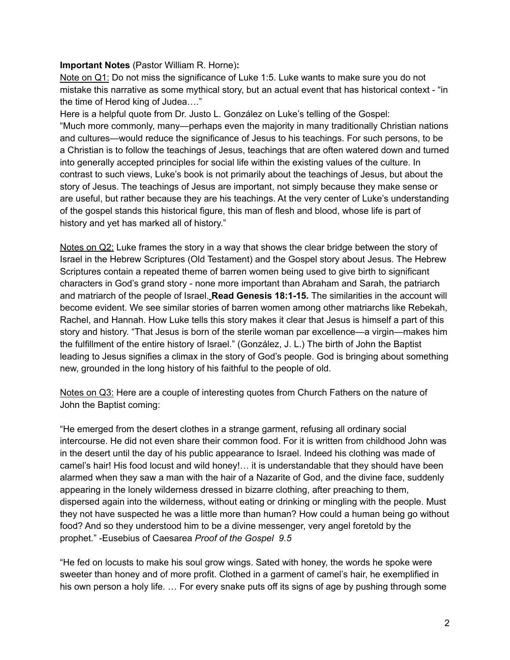## **Important Notes** (Pastor William R. Horne)**:**

Note on Q1: Do not miss the significance of Luke 1:5. Luke wants to make sure you do not mistake this narrative as some mythical story, but an actual event that has historical context - "in the time of Herod king of Judea…."

Here is a helpful quote from Dr. Justo L. González on Luke's telling of the Gospel: "Much more commonly, many—perhaps even the majority in many traditionally Christian nations and cultures—would reduce the significance of Jesus to his teachings. For such persons, to be a Christian is to follow the teachings of Jesus, teachings that are often watered down and turned into generally accepted principles for social life within the existing values of the culture. In contrast to such views, Luke's book is not primarily about the teachings of Jesus, but about the story of Jesus. The teachings of Jesus are important, not simply because they make sense or are useful, but rather because they are his teachings. At the very center of Luke's understanding of the gospel stands this historical figure, this man of flesh and blood, whose life is part of history and yet has marked all of history."

Notes on Q2: Luke frames the story in a way that shows the clear bridge between the story of Israel in the Hebrew Scriptures (Old Testament) and the Gospel story about Jesus. The Hebrew Scriptures contain a repeated theme of barren women being used to give birth to significant characters in God's grand story - none more important than Abraham and Sarah, the patriarch and matriarch of the people of Israel. **Read Genesis 18:1-15.** The similarities in the account will become evident. We see similar stories of barren women among other matriarchs like Rebekah, Rachel, and Hannah. How Luke tells this story makes it clear that Jesus is himself a part of this story and history. "That Jesus is born of the sterile woman par excellence—a virgin—makes him the fulfillment of the entire history of Israel." (González, J. L.) The birth of John the Baptist leading to Jesus signifies a climax in the story of God's people. God is bringing about something new, grounded in the long history of his faithful to the people of old.

Notes on Q3: Here are a couple of interesting quotes from Church Fathers on the nature of John the Baptist coming:

"He emerged from the desert clothes in a strange garment, refusing all ordinary social intercourse. He did not even share their common food. For it is written from childhood John was in the desert until the day of his public appearance to Israel. Indeed his clothing was made of camel's hair! His food locust and wild honey!… it is understandable that they should have been alarmed when they saw a man with the hair of a Nazarite of God, and the divine face, suddenly appearing in the lonely wilderness dressed in bizarre clothing, after preaching to them, dispersed again into the wilderness, without eating or drinking or mingling with the people. Must they not have suspected he was a little more than human? How could a human being go without food? And so they understood him to be a divine messenger, very angel foretold by the prophet." -Eusebius of Caesarea *Proof of the Gospel 9.5*

"He fed on locusts to make his soul grow wings. Sated with honey, the words he spoke were sweeter than honey and of more profit. Clothed in a garment of camel's hair, he exemplified in his own person a holy life. ... For every snake puts off its signs of age by pushing through some